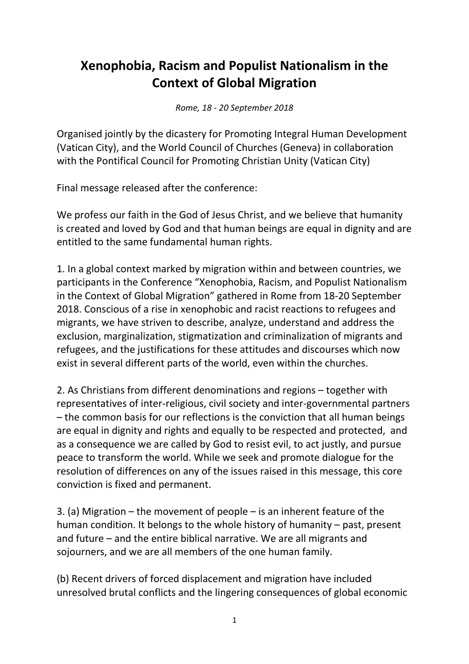## **Xenophobia, Racism and Populist Nationalism in the Context of Global Migration**

*Rome, 18 - 20 September 2018*

Organised jointly by the dicastery for Promoting Integral Human Development (Vatican City), and the World Council of Churches (Geneva) in collaboration with the Pontifical Council for Promoting Christian Unity (Vatican City)

Final message released after the conference:

We profess our faith in the God of Jesus Christ, and we believe that humanity is created and loved by God and that human beings are equal in dignity and are entitled to the same fundamental human rights.

1. In a global context marked by migration within and between countries, we participants in the Conference "Xenophobia, Racism, and Populist Nationalism in the Context of Global Migration" gathered in Rome from 18-20 September 2018. Conscious of a rise in xenophobic and racist reactions to refugees and migrants, we have striven to describe, analyze, understand and address the exclusion, marginalization, stigmatization and criminalization of migrants and refugees, and the justifications for these attitudes and discourses which now exist in several different parts of the world, even within the churches.

2. As Christians from different denominations and regions – together with representatives of inter-religious, civil society and inter-governmental partners – the common basis for our reflections is the conviction that all human beings are equal in dignity and rights and equally to be respected and protected, and as a consequence we are called by God to resist evil, to act justly, and pursue peace to transform the world. While we seek and promote dialogue for the resolution of differences on any of the issues raised in this message, this core conviction is fixed and permanent.

3. (a) Migration – the movement of people – is an inherent feature of the human condition. It belongs to the whole history of humanity – past, present and future – and the entire biblical narrative. We are all migrants and sojourners, and we are all members of the one human family.

(b) Recent drivers of forced displacement and migration have included unresolved brutal conflicts and the lingering consequences of global economic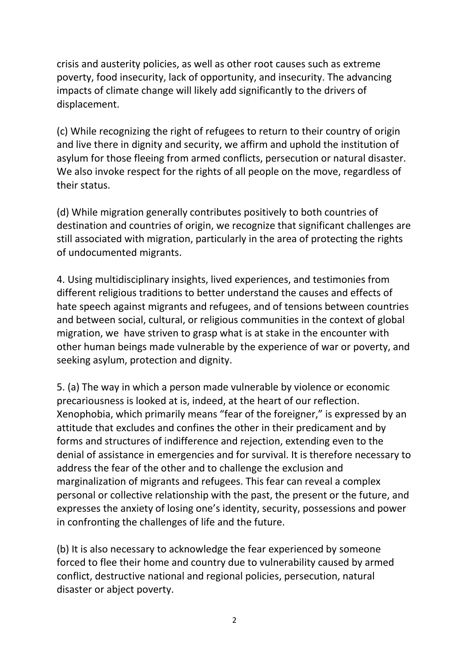crisis and austerity policies, as well as other root causes such as extreme poverty, food insecurity, lack of opportunity, and insecurity. The advancing impacts of climate change will likely add significantly to the drivers of displacement.

(c) While recognizing the right of refugees to return to their country of origin and live there in dignity and security, we affirm and uphold the institution of asylum for those fleeing from armed conflicts, persecution or natural disaster. We also invoke respect for the rights of all people on the move, regardless of their status.

(d) While migration generally contributes positively to both countries of destination and countries of origin, we recognize that significant challenges are still associated with migration, particularly in the area of protecting the rights of undocumented migrants.

4. Using multidisciplinary insights, lived experiences, and testimonies from different religious traditions to better understand the causes and effects of hate speech against migrants and refugees, and of tensions between countries and between social, cultural, or religious communities in the context of global migration, we have striven to grasp what is at stake in the encounter with other human beings made vulnerable by the experience of war or poverty, and seeking asylum, protection and dignity.

5. (a) The way in which a person made vulnerable by violence or economic precariousness is looked at is, indeed, at the heart of our reflection. Xenophobia, which primarily means "fear of the foreigner," is expressed by an attitude that excludes and confines the other in their predicament and by forms and structures of indifference and rejection, extending even to the denial of assistance in emergencies and for survival. It is therefore necessary to address the fear of the other and to challenge the exclusion and marginalization of migrants and refugees. This fear can reveal a complex personal or collective relationship with the past, the present or the future, and expresses the anxiety of losing one's identity, security, possessions and power in confronting the challenges of life and the future.

(b) It is also necessary to acknowledge the fear experienced by someone forced to flee their home and country due to vulnerability caused by armed conflict, destructive national and regional policies, persecution, natural disaster or abject poverty.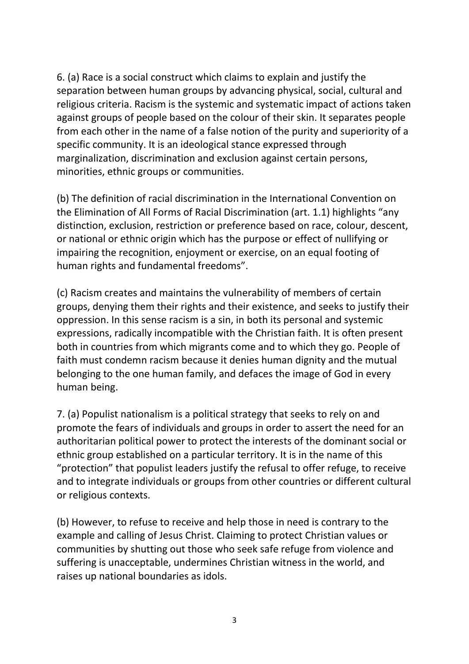6. (a) Race is a social construct which claims to explain and justify the separation between human groups by advancing physical, social, cultural and religious criteria. Racism is the systemic and systematic impact of actions taken against groups of people based on the colour of their skin. It separates people from each other in the name of a false notion of the purity and superiority of a specific community. It is an ideological stance expressed through marginalization, discrimination and exclusion against certain persons, minorities, ethnic groups or communities.

(b) The definition of racial discrimination in the International Convention on the Elimination of All Forms of Racial Discrimination (art. 1.1) highlights "any distinction, exclusion, restriction or preference based on race, colour, descent, or national or ethnic origin which has the purpose or effect of nullifying or impairing the recognition, enjoyment or exercise, on an equal footing of human rights and fundamental freedoms".

(c) Racism creates and maintains the vulnerability of members of certain groups, denying them their rights and their existence, and seeks to justify their oppression. In this sense racism is a sin, in both its personal and systemic expressions, radically incompatible with the Christian faith. It is often present both in countries from which migrants come and to which they go. People of faith must condemn racism because it denies human dignity and the mutual belonging to the one human family, and defaces the image of God in every human being.

7. (a) Populist nationalism is a political strategy that seeks to rely on and promote the fears of individuals and groups in order to assert the need for an authoritarian political power to protect the interests of the dominant social or ethnic group established on a particular territory. It is in the name of this "protection" that populist leaders justify the refusal to offer refuge, to receive and to integrate individuals or groups from other countries or different cultural or religious contexts.

(b) However, to refuse to receive and help those in need is contrary to the example and calling of Jesus Christ. Claiming to protect Christian values or communities by shutting out those who seek safe refuge from violence and suffering is unacceptable, undermines Christian witness in the world, and raises up national boundaries as idols.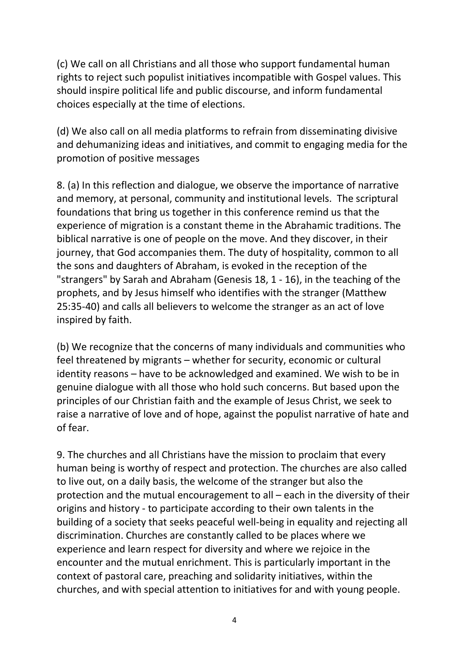(c) We call on all Christians and all those who support fundamental human rights to reject such populist initiatives incompatible with Gospel values. This should inspire political life and public discourse, and inform fundamental choices especially at the time of elections.

(d) We also call on all media platforms to refrain from disseminating divisive and dehumanizing ideas and initiatives, and commit to engaging media for the promotion of positive messages

8. (a) In this reflection and dialogue, we observe the importance of narrative and memory, at personal, community and institutional levels. The scriptural foundations that bring us together in this conference remind us that the experience of migration is a constant theme in the Abrahamic traditions. The biblical narrative is one of people on the move. And they discover, in their journey, that God accompanies them. The duty of hospitality, common to all the sons and daughters of Abraham, is evoked in the reception of the "strangers" by Sarah and Abraham (Genesis 18, 1 - 16), in the teaching of the prophets, and by Jesus himself who identifies with the stranger (Matthew 25:35-40) and calls all believers to welcome the stranger as an act of love inspired by faith.

(b) We recognize that the concerns of many individuals and communities who feel threatened by migrants – whether for security, economic or cultural identity reasons – have to be acknowledged and examined. We wish to be in genuine dialogue with all those who hold such concerns. But based upon the principles of our Christian faith and the example of Jesus Christ, we seek to raise a narrative of love and of hope, against the populist narrative of hate and of fear.

9. The churches and all Christians have the mission to proclaim that every human being is worthy of respect and protection. The churches are also called to live out, on a daily basis, the welcome of the stranger but also the protection and the mutual encouragement to all – each in the diversity of their origins and history - to participate according to their own talents in the building of a society that seeks peaceful well-being in equality and rejecting all discrimination. Churches are constantly called to be places where we experience and learn respect for diversity and where we rejoice in the encounter and the mutual enrichment. This is particularly important in the context of pastoral care, preaching and solidarity initiatives, within the churches, and with special attention to initiatives for and with young people.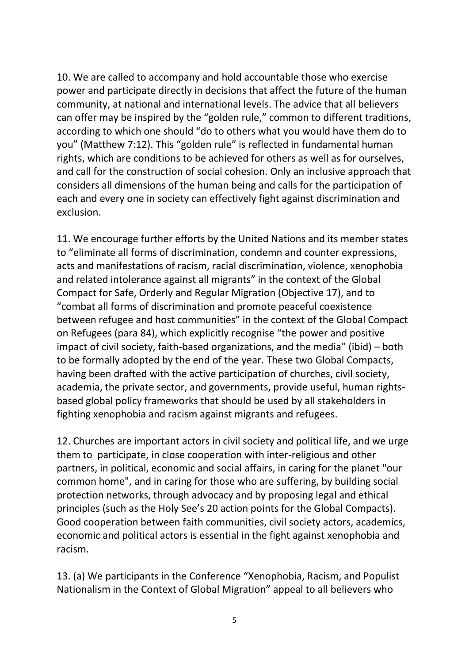10. We are called to accompany and hold accountable those who exercise power and participate directly in decisions that affect the future of the human community, at national and international levels. The advice that all believers can offer may be inspired by the "golden rule," common to different traditions, according to which one should "do to others what you would have them do to you" (Matthew 7:12). This "golden rule" is reflected in fundamental human rights, which are conditions to be achieved for others as well as for ourselves, and call for the construction of social cohesion. Only an inclusive approach that considers all dimensions of the human being and calls for the participation of each and every one in society can effectively fight against discrimination and exclusion.

11. We encourage further efforts by the United Nations and its member states to "eliminate all forms of discrimination, condemn and counter expressions, acts and manifestations of racism, racial discrimination, violence, xenophobia and related intolerance against all migrants" in the context of the Global Compact for Safe, Orderly and Regular Migration (Objective 17), and to "combat all forms of discrimination and promote peaceful coexistence between refugee and host communities" in the context of the Global Compact on Refugees (para 84), which explicitly recognise "the power and positive impact of civil society, faith-based organizations, and the media" (ibid) – both to be formally adopted by the end of the year. These two Global Compacts, having been drafted with the active participation of churches, civil society, academia, the private sector, and governments, provide useful, human rightsbased global policy frameworks that should be used by all stakeholders in fighting xenophobia and racism against migrants and refugees.

12. Churches are important actors in civil society and political life, and we urge them to participate, in close cooperation with inter-religious and other partners, in political, economic and social affairs, in caring for the planet "our common home", and in caring for those who are suffering, by building social protection networks, through advocacy and by proposing legal and ethical principles (such as the Holy See's 20 action points for the Global Compacts). Good cooperation between faith communities, civil society actors, academics, economic and political actors is essential in the fight against xenophobia and racism.

13. (a) We participants in the Conference "Xenophobia, Racism, and Populist Nationalism in the Context of Global Migration" appeal to all believers who